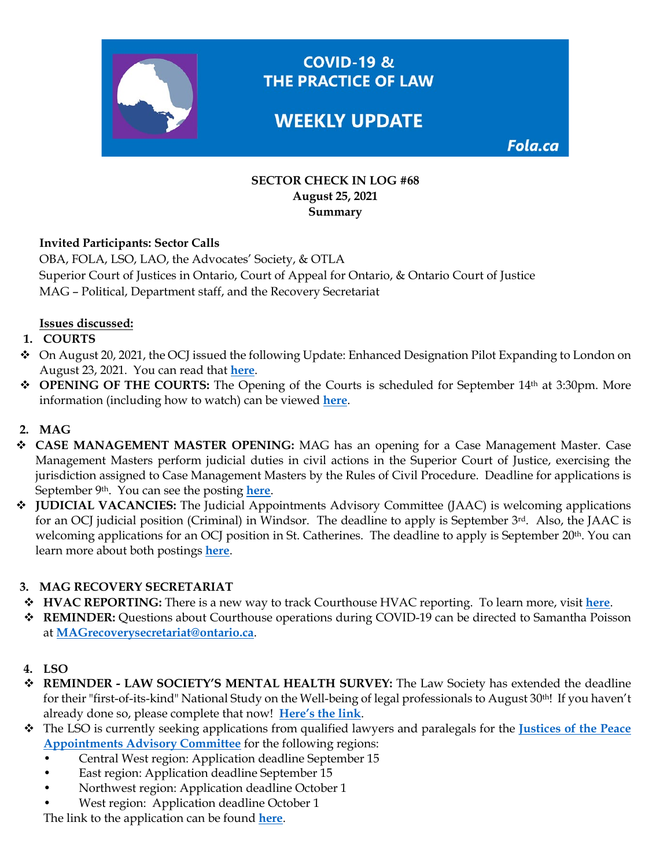

**COVID-19 &** THE PRACTICE OF LAW

# **WEEKLY UPDATE**

Fola.ca

#### **SECTOR CHECK IN LOG #68 August 25, 2021 Summary**

#### **Invited Participants: Sector Calls**

OBA, FOLA, LSO, LAO, the Advocates' Society, & OTLA Superior Court of Justices in Ontario, Court of Appeal for Ontario, & Ontario Court of Justice MAG – Political, Department staff, and the Recovery Secretariat

#### **Issues discussed:**

#### **1. COURTS**

- On August 20, 2021, the OCJ issued the following Update: Enhanced Designation Pilot Expanding to London on August 23, 2021. You can read that **here**.
- **OPENING OF THE COURTS:** The Opening of the Courts is scheduled for September 14<sup>th</sup> at 3:30pm. More information (including how to watch) can be viewed **here**.

#### **2. MAG**

- **CASE MANAGEMENT MASTER OPENING:** MAG has an opening for a Case Management Master. Case Management Masters perform judicial duties in civil actions in the Superior Court of Justice, exercising the jurisdiction assigned to Case Management Masters by the Rules of Civil Procedure. Deadline for applications is September 9th. You can see the posting **here**.
- **JUDICIAL VACANCIES:** The Judicial Appointments Advisory Committee (JAAC) is welcoming applications for an OCJ judicial position (Criminal) in Windsor. The deadline to apply is September 3rd. Also, the JAAC is welcoming applications for an OCJ position in St. Catherines. The deadline to apply is September 20<sup>th</sup>. You can learn more about both postings **here**.

#### **3. MAG RECOVERY SECRETARIAT**

- **HVAC REPORTING:** There is a new way to track Courthouse HVAC reporting. To learn more, visit **here**.
- **REMINDER:** Questions about Courthouse operations during COVID-19 can be directed to Samantha Poisson at **MAGrecoverysecretariat@ontario.ca**.
- **4. LSO**
- **REMINDER - LAW SOCIETY'S MENTAL HEALTH SURVEY:** The Law Society has extended the deadline for their "first-of-its-kind" National Study on the Well-being of legal professionals to August 30th! If you haven't already done so, please complete that now! **Here's the link**.
- The LSO is currently seeking applications from qualified lawyers and paralegals for the **Justices of the Peace Appointments Advisory Committee** for the following regions:
	- Central West region: Application deadline September 15
	- East region: Application deadline September 15
	- Northwest region: Application deadline October 1
	- West region: Application deadline October 1

The link to the application can be found **here**.